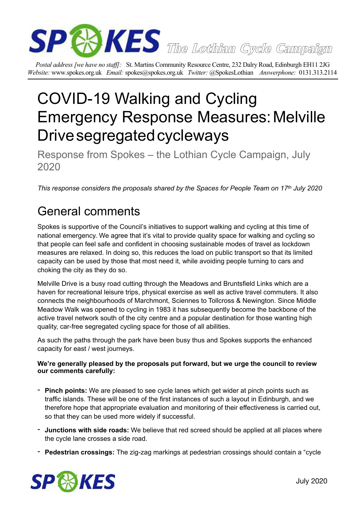

*Postal address [we have no staff]:* St. Martins Community Resource Centre, 232 Dalry Road, Edinburgh EH11 2JG *Website:* www.spokes.org.uk *Email:* spokes@spokes.org.uk *Twitter:* @SpokesLothian *Answerphone:* 0131.313.2114

# COVID-19 Walking and Cycling Emergency Response Measures:Melville Drive segregated cycleways

Response from Spokes – the Lothian Cycle Campaign, July 2020

*This response considers the proposals shared by the Spaces for People Team on 17th July 2020* 

## General comments

Spokes is supportive of the Council's initiatives to support walking and cycling at this time of national emergency. We agree that it's vital to provide quality space for walking and cycling so that people can feel safe and confident in choosing sustainable modes of travel as lockdown measures are relaxed. In doing so, this reduces the load on public transport so that its limited capacity can be used by those that most need it, while avoiding people turning to cars and choking the city as they do so.

Melville Drive is a busy road cutting through the Meadows and Bruntsfield Links which are a haven for recreational leisure trips, physical exercise as well as active travel commuters. It also connects the neighbourhoods of Marchmont, Sciennes to Tollcross & Newington. Since Middle Meadow Walk was opened to cycling in 1983 it has subsequently become the backbone of the active travel network south of the city centre and a popular destination for those wanting high quality, car-free segregated cycling space for those of all abilities.

As such the paths through the park have been busy thus and Spokes supports the enhanced capacity for east / west journeys.

#### **We're generally pleased by the proposals put forward, but we urge the council to review our comments carefully:**

- **Pinch points:** We are pleased to see cycle lanes which get wider at pinch points such as traffic islands. These will be one of the first instances of such a layout in Edinburgh, and we therefore hope that appropriate evaluation and monitoring of their effectiveness is carried out, so that they can be used more widely if successful.
- **Junctions with side roads:** We believe that red screed should be applied at all places where the cycle lane crosses a side road.
- **Pedestrian crossings:** The zig-zag markings at pedestrian crossings should contain a "cycle

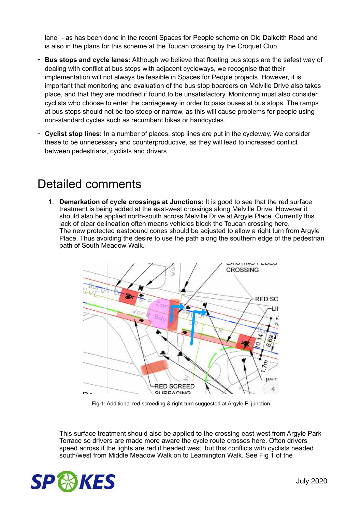lane" - as has been done in the recent Spaces for People scheme on Old Dalkeith Road and is also in the plans for this scheme at the Toucan crossing by the Croquet Club.

- **Bus stops and cycle lanes:** Although we believe that floating bus stops are the safest way of dealing with conflict at bus stops with adjacent cycleways, we recognise that their implementation will not always be feasible in Spaces for People projects. However, it is important that monitoring and evaluation of the bus stop boarders on Melville Drive also takes place, and that they are modified if found to be unsatisfactory. Monitoring must also consider cyclists who choose to enter the carriageway in order to pass buses at bus stops. The ramps at bus stops should not be too steep or narrow, as this will cause problems for people using non-standard cycles such as recumbent bikes or handcycles.
- **Cyclist stop lines:** In a number of places, stop lines are put in the cycleway. We consider these to be unnecessary and counterproductive, as they will lead to increased conflict between pedestrians, cyclists and drivers.

### Detailed comments

1. **Demarkation of cycle crossings at Junctions:** It is good to see that the red surface treatment is being added at the east-west crossings along Melville Drive. However it should also be applied north-south across Melville Drive at Argyle Place. Currently this lack of clear delineation often means vehicles block the Toucan crossing here. The new protected eastbound cones should be adjusted to allow a right turn from Argyle Place. Thus avoiding the desire to use the path along the southern edge of the pedestrian path of South Meadow Walk.



Fig 1: Additional red screeding & right turn suggested at Argyle Pl junction

 This surface treatment should also be applied to the crossing east-west from Argyle Park Terrace so drivers are made more aware the cycle route crosses here. Often drivers speed across if the lights are red if headed west, but this conflicts with cyclists headed south/west from Middle Meadow Walk on to Leamington Walk. See Fig 1 of the

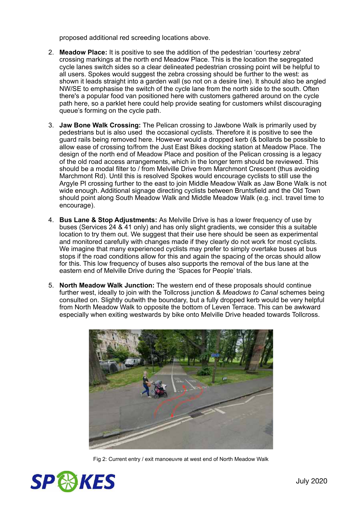proposed additional red screeding locations above.

- 2. **Meadow Place:** It is positive to see the addition of the pedestrian 'courtesy zebra' crossing markings at the north end Meadow Place. This is the location the segregated cycle lanes switch sides so a clear delineated pedestrian crossing point will be helpful to all users. Spokes would suggest the zebra crossing should be further to the west: as shown it leads straight into a garden wall (so not on a desire line). It should also be analed NW/SE to emphasise the switch of the cycle lane from the north side to the south. Often there's a popular food van positioned here with customers gathered around on the cycle path here, so a parklet here could help provide seating for customers whilst discouraging queue's forming on the cycle path.
- 3. **Jaw Bone Walk Crossing:** The Pelican crossing to Jawbone Walk is primarily used by pedestrians but is also used the occasional cyclists. Therefore it is positive to see the guard rails being removed here. However would a dropped kerb (& bollards be possible to allow ease of crossing to/from the Just East Bikes docking station at Meadow Place. The design of the north end of Meadow Place and position of the Pelican crossing is a legacy of the old road access arrangements, which in the longer term should be reviewed. This should be a modal filter to / from Melville Drive from Marchmont Crescent (thus avoiding Marchmont Rd). Until this is resolved Spokes would encourage cyclists to still use the Argyle Pl crossing further to the east to join Middle Meadow Walk as Jaw Bone Walk is not wide enough. Additional signage directing cyclists between Bruntsfield and the Old Town should point along South Meadow Walk and Middle Meadow Walk (e.g. incl. travel time to encourage).
- 4. **Bus Lane & Stop Adjustments:** As Melville Drive is has a lower frequency of use by buses (Services 24 & 41 only) and has only slight gradients, we consider this a suitable location to try them out. We suggest that their use here should be seen as experimental and monitored carefully with changes made if they clearly do not work for most cyclists. We imagine that many experienced cyclists may prefer to simply overtake buses at bus stops if the road conditions allow for this and again the spacing of the orcas should allow for this. This low frequency of buses also supports the removal of the bus lane at the eastern end of Melville Drive during the 'Spaces for People' trials.
- 5. **North Meadow Walk Junction:** The western end of these proposals should continue further west, ideally to join with the Tollcross junction & *Meadows to Canal* schemes being consulted on. Slightly outwith the boundary, but a fully dropped kerb would be very helpful from North Meadow Walk to opposite the bottom of Leven Terrace. This can be awkward especially when exiting westwards by bike onto Melville Drive headed towards Tollcross.



Fig 2: Current entry / exit manoeuvre at west end of North Meadow Walk

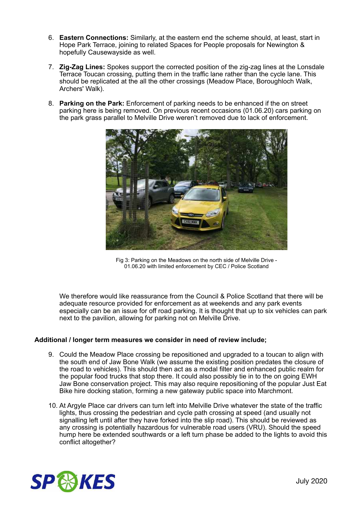- 6. **Eastern Connections:** Similarly, at the eastern end the scheme should, at least, start in Hope Park Terrace, joining to related Spaces for People proposals for Newington & hopefully Causewayside as well.
- 7. **Zig-Zag Lines:** Spokes support the corrected position of the zig-zag lines at the Lonsdale Terrace Toucan crossing, putting them in the traffic lane rather than the cycle lane. This should be replicated at the all the other crossings (Meadow Place, Boroughloch Walk, Archers' Walk).
- 8. **Parking on the Park:** Enforcement of parking needs to be enhanced if the on street parking here is being removed. On previous recent occasions (01.06.20) cars parking on the park grass parallel to Melville Drive weren't removed due to lack of enforcement.



Fig 3: Parking on the Meadows on the north side of Melville Drive - 01.06.20 with limited enforcement by CEC / Police Scotland

 We therefore would like reassurance from the Council & Police Scotland that there will be adequate resource provided for enforcement as at weekends and any park events especially can be an issue for off road parking. It is thought that up to six vehicles can park next to the pavilion, allowing for parking not on Melville Drive.

#### **Additional / longer term measures we consider in need of review include;**

- 9. Could the Meadow Place crossing be repositioned and upgraded to a toucan to align with the south end of Jaw Bone Walk (we assume the existing position predates the closure of the road to vehicles). This should then act as a modal filter and enhanced public realm for the popular food trucks that stop there. It could also possibly tie in to the on going EWH Jaw Bone conservation project. This may also require repositioning of the popular Just Eat Bike hire docking station, forming a new gateway public space into Marchmont.
- 10. At Argyle Place car drivers can turn left into Melville Drive whatever the state of the traffic lights, thus crossing the pedestrian and cycle path crossing at speed (and usually not signalling left until after they have forked into the slip road). This should be reviewed as any crossing is potentially hazardous for vulnerable road users (VRU). Should the speed hump here be extended southwards or a left turn phase be added to the lights to avoid this conflict altogether?